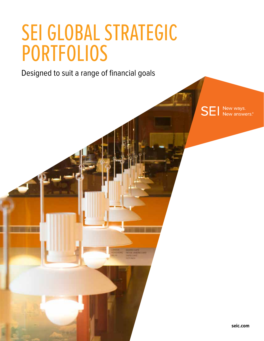# SEI GLOBAL STRATEGIC PORTFOLIOS

Designed to suit a range of financial goals

**SEI** New ways.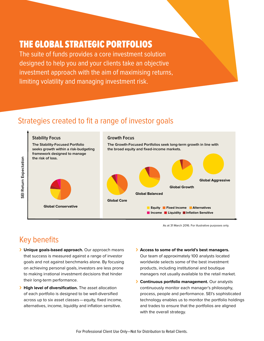# THE GLOBAL STRATEGIC PORTFOLIOS

The suite of funds provides a core investment solution designed to help you and your clients take an objective investment approach with the aim of maximising returns, limiting volatility and managing investment risk.

#### Strategies created to fit a range of investor goals



As at 31 March 2016. For illustrative purposes only.

## Key benefits

- › **Unique goals-based approach.** Our approach means that success is measured against a range of investor goals and not against benchmarks alone. By focusing on achieving personal goals, investors are less prone to making irrational investment decisions that hinder their long-term performance.
- › **High level of diversification.** The asset allocation of each portfolio is designed to be well-diversified across up to six asset classes—equity, fixed income, alternatives, income, liquidity and inflation sensitive.
- › **Access to some of the world's best managers.** Our team of approximately 100 analysts located worldwide selects some of the best investment products, including institutional and boutique managers not usually available to the retail market.
- › **Continuous portfolio management.** Our analysts continuously monitor each manager's philosophy, process, people and performance. SEI's sophisticated technology enables us to monitor the portfolio holdings and trades to ensure that the portfolios are aligned with the overall strategy.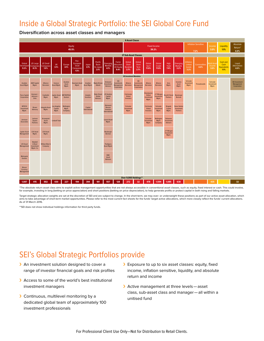#### Inside a Global Strategic Portfolio: the SEI Global Core Fund

**Diversification across asset classes and managers**



\*The absolute return asset class aims to exploit active management opportunities that are not always accessible in conventional asset classes, such as equity, fixed interest or cash. This could involve, for example, investing in long (betting on price appreciation) and short positions (betting on price depreciation), to help generate profits or protect capital in both rising and falling markets.

Target strategic allocation weights are set at the discretion of SEI and are subject to change. In the short-term, we may over- or underweight these positions as part of our active asset allocation, which aims to take advantage of short-term market opportunities. Please refer to the most current fact sheets for the funds' target active allocations, which more closely reflect the funds' current allocations. As of 31 March 2016.

\*\*SEI does not show individual holdings information for third party funds.

### SEI's Global Strategic Portfolios provide

- > An investment solution designed to cover a range of investor financial goals and risk profiles
- › Access to some of the world's best institutional investment managers
- › Continuous, multilevel monitoring by a dedicated global team of approximately 100 investment professionals
- > Exposure to up to six asset classes: equity, fixed income, inflation sensitive, liquidity, and absolute return and income
- › Active management at three levels—asset class, sub-asset class and manager—all within a unitised fund